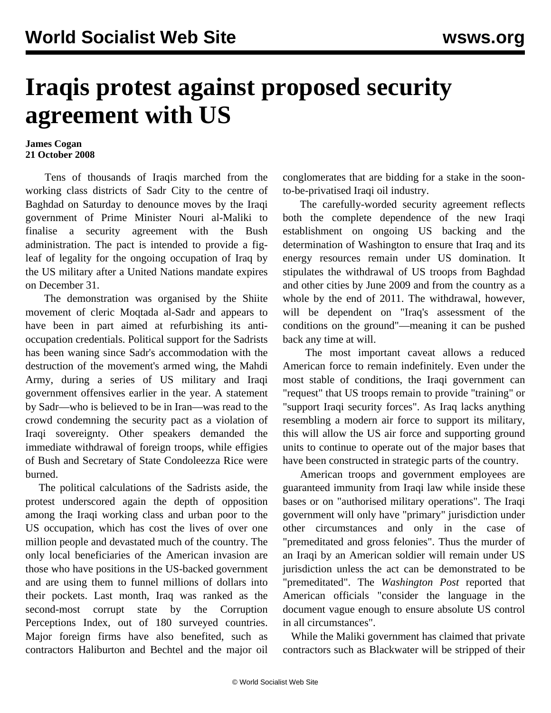## **Iraqis protest against proposed security agreement with US**

## **James Cogan 21 October 2008**

 Tens of thousands of Iraqis marched from the working class districts of Sadr City to the centre of Baghdad on Saturday to denounce moves by the Iraqi government of Prime Minister Nouri al-Maliki to finalise a security agreement with the Bush administration. The pact is intended to provide a figleaf of legality for the ongoing occupation of Iraq by the US military after a United Nations mandate expires on December 31.

 The demonstration was organised by the Shiite movement of cleric Moqtada al-Sadr and appears to have been in part aimed at refurbishing its antioccupation credentials. Political support for the Sadrists has been waning since Sadr's accommodation with the destruction of the movement's armed wing, the Mahdi Army, during a series of US military and Iraqi government offensives earlier in the year. A statement by Sadr—who is believed to be in Iran—was read to the crowd condemning the security pact as a violation of Iraqi sovereignty. Other speakers demanded the immediate withdrawal of foreign troops, while effigies of Bush and Secretary of State Condoleezza Rice were burned.

 The political calculations of the Sadrists aside, the protest underscored again the depth of opposition among the Iraqi working class and urban poor to the US occupation, which has cost the lives of over one million people and devastated much of the country. The only local beneficiaries of the American invasion are those who have positions in the US-backed government and are using them to funnel millions of dollars into their pockets. Last month, Iraq was ranked as the second-most corrupt state by the Corruption Perceptions Index, out of 180 surveyed countries. Major foreign firms have also benefited, such as contractors Haliburton and Bechtel and the major oil

conglomerates that are bidding for a stake in the soonto-be-privatised Iraqi oil industry.

 The carefully-worded security agreement reflects both the complete dependence of the new Iraqi establishment on ongoing US backing and the determination of Washington to ensure that Iraq and its energy resources remain under US domination. It stipulates the withdrawal of US troops from Baghdad and other cities by June 2009 and from the country as a whole by the end of 2011. The withdrawal, however, will be dependent on "Iraq's assessment of the conditions on the ground"—meaning it can be pushed back any time at will.

 The most important caveat allows a reduced American force to remain indefinitely. Even under the most stable of conditions, the Iraqi government can "request" that US troops remain to provide "training" or "support Iraqi security forces". As Iraq lacks anything resembling a modern air force to support its military, this will allow the US air force and supporting ground units to continue to operate out of the major bases that have been constructed in strategic parts of the country.

 American troops and government employees are guaranteed immunity from Iraqi law while inside these bases or on "authorised military operations". The Iraqi government will only have "primary" jurisdiction under other circumstances and only in the case of "premeditated and gross felonies". Thus the murder of an Iraqi by an American soldier will remain under US jurisdiction unless the act can be demonstrated to be "premeditated". The *Washington Post* reported that American officials "consider the language in the document vague enough to ensure absolute US control in all circumstances".

 While the Maliki government has claimed that private contractors such as Blackwater will be stripped of their